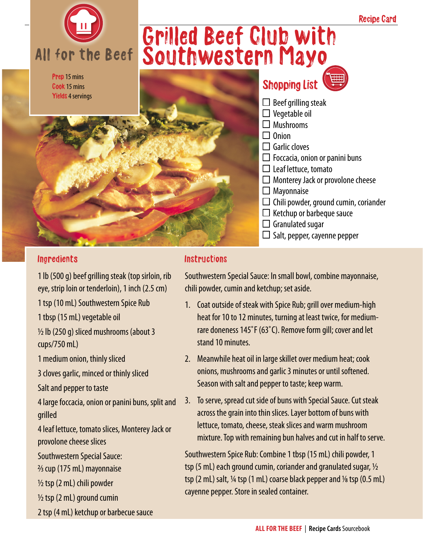

## Ingredients

1 lb (500 g) beef grilling steak (top sirloin, rib eye, strip loin or tenderloin), 1 inch (2.5 cm) 1 tsp (10 mL) Southwestern Spice Rub 1 tbsp (15 mL) vegetable oil

 $\frac{1}{2}$  lb (250 g) sliced mushrooms (about 3 cups/750 mL)

1 medium onion, thinly sliced

3 cloves garlic, minced or thinly sliced

Salt and pepper to taste

4 large foccacia, onion or panini buns, split and grilled

4 leaf lettuce, tomato slices, Monterey Jack or provolone cheese slices

Southwestern Special Sauce:

2/3 cup (175 mL) mayonnaise

 $\frac{1}{2}$  tsp (2 mL) chili powder

½ tsp (2 mL) ground cumin

2 tsp (4 mL) ketchup or barbecue sauce

## Instructions

Southwestern Special Sauce: In small bowl, combine mayonnaise, chili powder, cumin and ketchup; set aside.

- 1. Coat outside of steak with Spice Rub; grill over medium-high heat for 10 to 12 minutes, turning at least twice, for mediumrare doneness 145˚F (63˚C). Remove form gill; cover and let stand 10 minutes.
- 2. Meanwhile heat oil in large skillet over medium heat; cook onions, mushrooms and garlic 3 minutes or until softened. Season with salt and pepper to taste; keep warm.
- 3. To serve, spread cut side of buns with Special Sauce. Cut steak across the grain into thin slices. Layer bottom of buns with lettuce, tomato, cheese, steak slices and warm mushroom mixture. Top with remaining bun halves and cut in half to serve.

Southwestern Spice Rub: Combine 1 tbsp (15 mL) chili powder, 1 tsp (5 mL) each ground cumin, coriander and granulated sugar,  $\frac{1}{2}$ tsp  $(2 \text{ mL})$  salt,  $\frac{1}{4}$  tsp  $(1 \text{ mL})$  coarse black pepper and  $\frac{1}{8}$  tsp  $(0.5 \text{ mL})$ cayenne pepper. Store in sealed container.